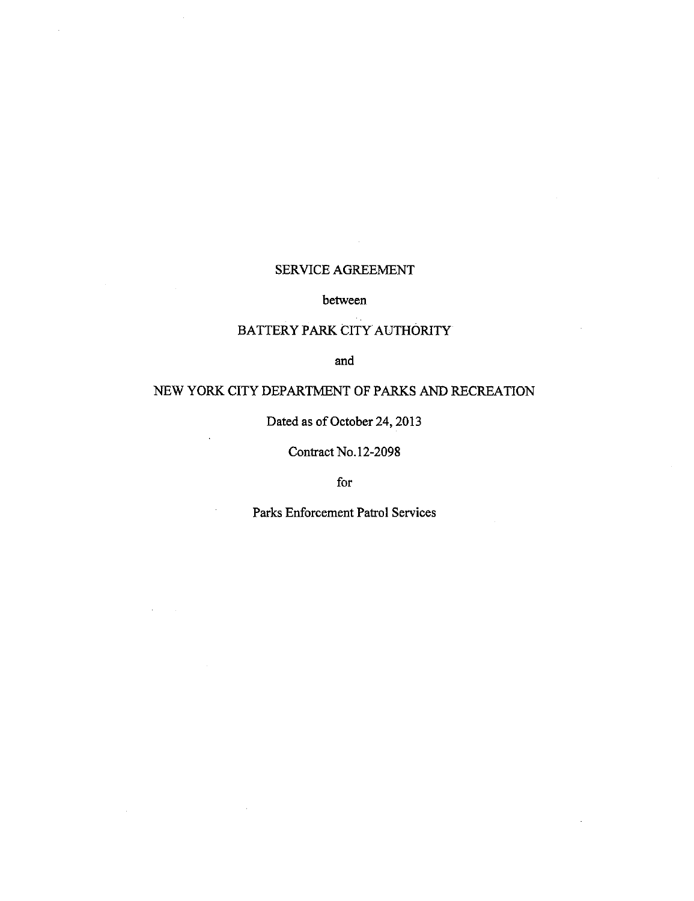# SERVICE AGREEMENT

## between

# BATTERY PARK CITY AUTHORITY

and

# NEW YORK CITY DEPARTMENT OF PARKS AND RECREATION

Dated as of October 24, 2013

Contract No. 12-2098

for

Parks Enforcement Patrol Services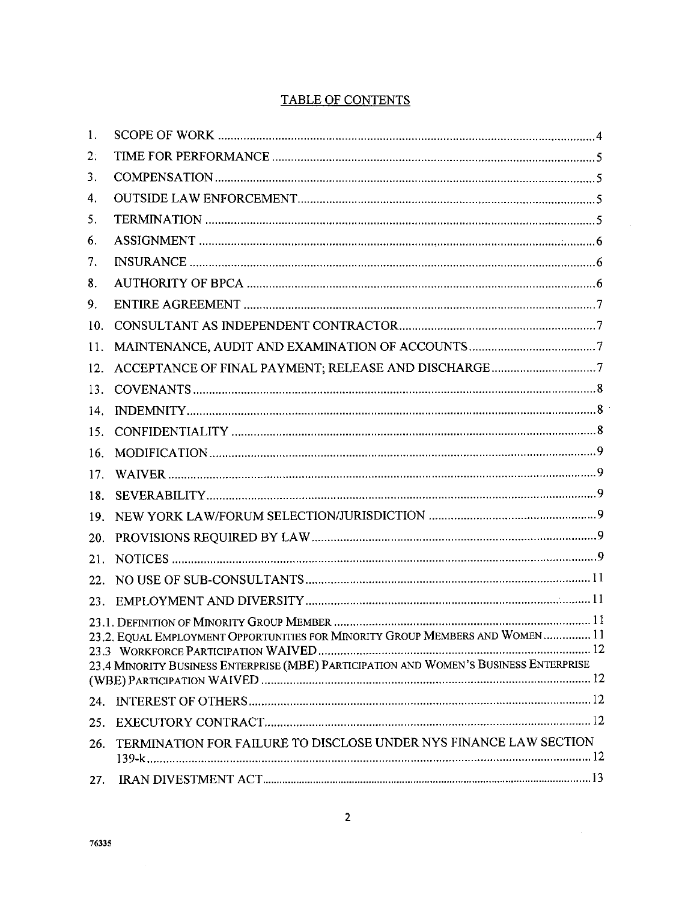# **TABLE OF CONTENTS**

| 1.              |                                                                                                                                                                        |
|-----------------|------------------------------------------------------------------------------------------------------------------------------------------------------------------------|
| 2.              |                                                                                                                                                                        |
| 3.              |                                                                                                                                                                        |
| 4.              |                                                                                                                                                                        |
| 5.              |                                                                                                                                                                        |
| 6.              |                                                                                                                                                                        |
| 7.              |                                                                                                                                                                        |
| 8.              |                                                                                                                                                                        |
| 9.              |                                                                                                                                                                        |
| 10.             |                                                                                                                                                                        |
| 11.             |                                                                                                                                                                        |
| 12.             |                                                                                                                                                                        |
| 13.             |                                                                                                                                                                        |
| 14.             |                                                                                                                                                                        |
| 15.             |                                                                                                                                                                        |
| 16.             |                                                                                                                                                                        |
| 17 <sub>1</sub> |                                                                                                                                                                        |
| 18.             |                                                                                                                                                                        |
| 19.             |                                                                                                                                                                        |
| 20.             |                                                                                                                                                                        |
| 21.             |                                                                                                                                                                        |
| 22.             |                                                                                                                                                                        |
|                 |                                                                                                                                                                        |
|                 | 23.2. EQUAL EMPLOYMENT OPPORTUNITIES FOR MINORITY GROUP MEMBERS AND WOMEN  11<br>23.4 MINORITY BUSINESS ENTERPRISE (MBE) PARTICIPATION AND WOMEN'S BUSINESS ENTERPRISE |
| 24.             |                                                                                                                                                                        |
| 25.             |                                                                                                                                                                        |
| 26.             | TERMINATION FOR FAILURE TO DISCLOSE UNDER NYS FINANCE LAW SECTION                                                                                                      |
|                 |                                                                                                                                                                        |

 $\sim 10^{-1}$ 

 $\mathcal{A}^{\mathcal{A}}$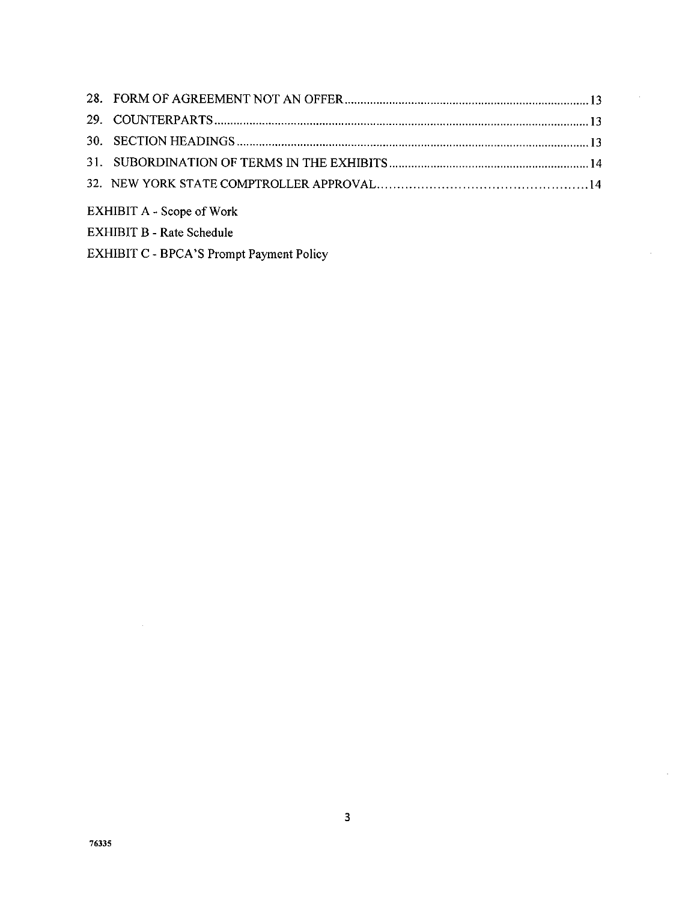| <b>EXHIBIT A - Scope of Work</b> |  |
|----------------------------------|--|

 $\bar{z}$ 

 $\bar{z}$ 

EXHIBIT B - Rate Schedule

EXHIBIT C - BPCA'S Prompt Payment Policy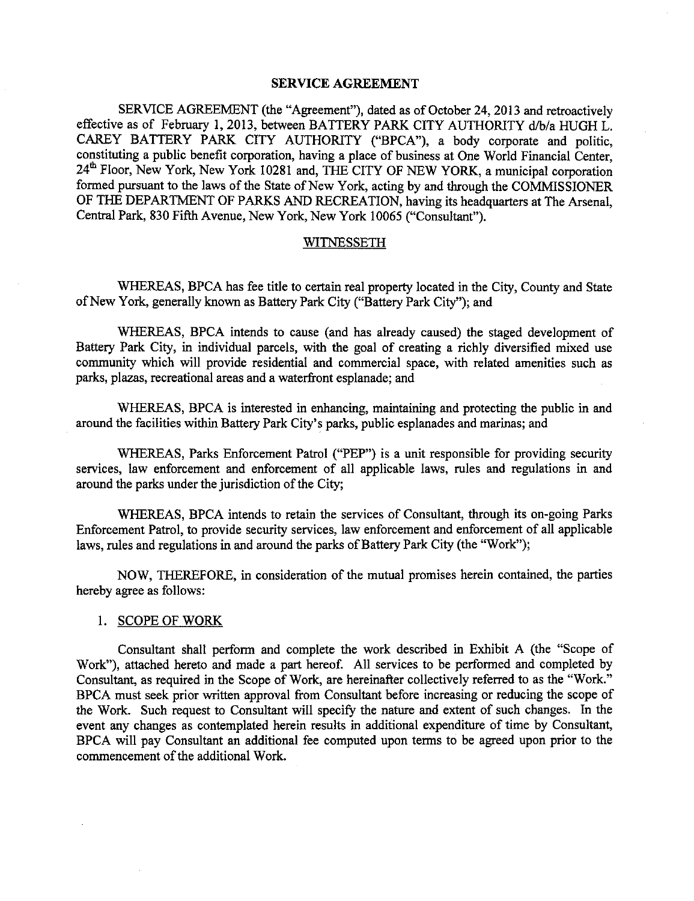## **SERVICE AGREEMENT**

SERVICE AGREEMENT (the "Agreement"), dated as of October 24, 2013 and retroactively effective as of February 1, 2013, between BATTERY PARK CITY AUTHORITY d/b/a HUGH L. CAREY BATTERY PARK CITY AUTHORITY ("BPCA"), a body corporate and politic, constituting a public benefit corporation, having a place of business at One World Financial Center, 24<sup>th</sup> Floor, New York, New York 10281 and, THE CITY OF NEW YORK, a municipal corporation formed pursuant to the laws of the State of New York, acting by and through the COMMISSIONER OF THE DEPARTMENT OF PARKS *AND* RECREATION, having its headquarters at The Arsenal, Central Park, 830 Fifth Avenue, New York, New York 10065 ("Consultant").

# **WITNESSETH**

WHEREAS, BPCA has fee title to certain real property located in the City, County and State of New York, generally known as Battery Park City ("Battery Park City"); and

WHEREAS, BPCA intends to cause (and **has** already caused) the staged development of Battery Park City, in individual parcels, with the goal of creating a richly diversified mixed use community which will provide residential and commercial space, with related amenities such as parks, plazas, recreational areas and a waterfront esplanade; and

WHEREAS, BPCA is interested in enhancing, maintaining and protecting the public in and around the facilities within Battery Park City's parks, public esplanades and marinas; and

WHEREAS, Parks Enforcement Patrol ("PEP") is a unit responsible for providing security services, law enforcement and enforcement of all applicable laws, rules and regulations in and around the parks under the jurisdiction of the City;

WHEREAS, BPCA intends to retain the services of Consultant, through its on-going Parks Enforcement Patrol, to provide security services, law enforcement and enforcement of all applicable laws, rules and regulations in and around the parks of Battery Park City (the "Work");

NOW, THEREFORE, in consideration of the mutual promises herein contained, the parties hereby agree as follows:

## 1. SCOPE OF WORK

Consultant shall perform and complete the work described in Exhibit A (the "Scope of Work"), attached hereto and made a part hereof. All services to be performed and completed by Consultant, as required in the Scope of Work, are hereinafter collectively referred to as the "Work." BPCA must seek prior written approval from Consultant before increasing or reducing the scope of the Work. Such request to Consultant will specify the nature and extent of such changes. In the event any changes as contemplated herein results in additional expenditure of time by Consultant, BPCA will pay Consultant an additional fee computed upon terms to be agreed upon prior to the commencement of the additional Work.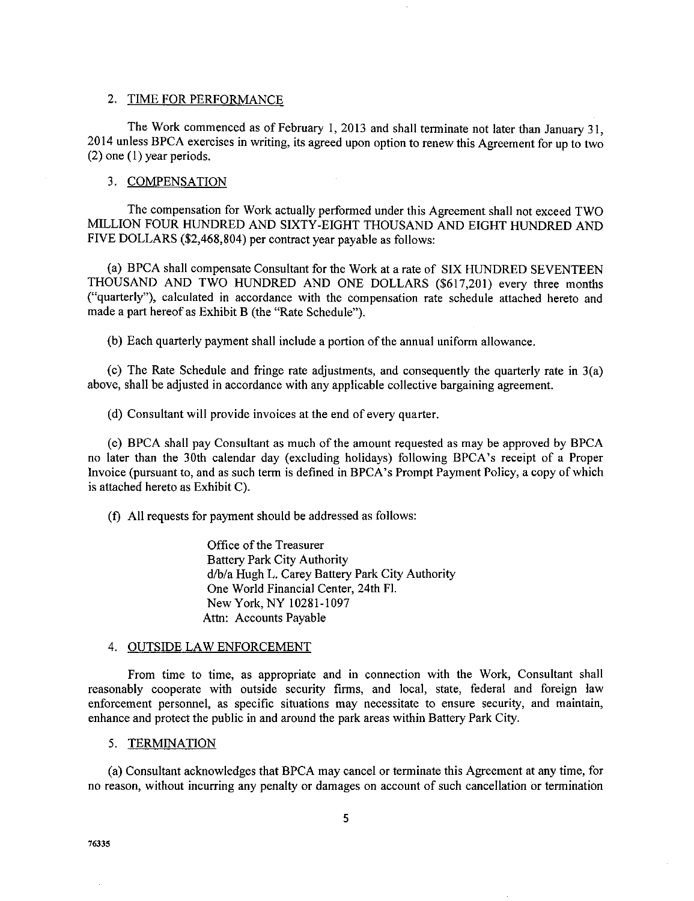### 2. TIME FOR PERFORMANCE

The Work commenced as of February I, 2013 and shall terminate not later *than* January 31, 2014 unless BPCA exercises in writing, its agreed upon option to renew this Agreement for up to two (2) one (1) year periods.

#### 3. COMPENSATION

The compensation for Work actually performed under this Agreement shall not exceed TWO MILLION FOUR HUNDRED AND SIXTY-EIGHT THOUSAND AND EIGHT HUNDRED AND FIVE DOLLARS (\$2,468,804) per contract year payable as follows:

(a) BPCA shall compensate Consultant for the Work at a rate of SIX HUNDRED SEVENTEEN THOUSAND AND TWO HUNDRED AND ONE DOLLARS (\$617,201) every three months ("quarterly"), calculated in accordance with the compensation rate schedule attached hereto and made a part hereof as Exhibit B (the "Rate Schedule").

(b) Each quarterly payment shall include a portion of the annual uniform allowance.

(c) The Rate Schedule and fringe rate adjustments, and consequently the quarterly rate in 3(a) above, shall be adjusted in accordance with any applicable collective bargaining agreement.

(d) Consultant will provide invoices at the end of every quarter.

(e) BPCA shall pay Consultant as much of the amount requested as may be approved by BPCA no later than the 30th calendar day (excluding holidays) following BPCA's receipt of a Proper Invoice (pursuant to, and as such term is defined in BPCA's Prompt Payment Policy, a copy of which is attached hereto as Exhibit C).

(f) All requests for payment should be addressed as follows:

Office of the Treasurer Battery Park City Authority d/b/a Hugh L. Carey Battery Park City Authority One World Financial Center, 24th FI. New York, NY 10281-1097 *Attn:* Accounts Payable

#### 4. OUTSIDE LAW ENFORCEMENT

From time to time, as appropriate and in connection with the Work, Consultant shall reasonably cooperate with outside security firms, and local, state, federal and foreign law enforcement personnel, as specific situations may necessitate to ensure security, and maintain, enhance and protect the public in and around the park areas within Battery Park City.

### 5. TERMINATION

(a) Consultant acknowledges that BPCA may cancel or terminate this Agreement at any time, for no reason, without incurring any penalty or damages on account of such cancellation or termination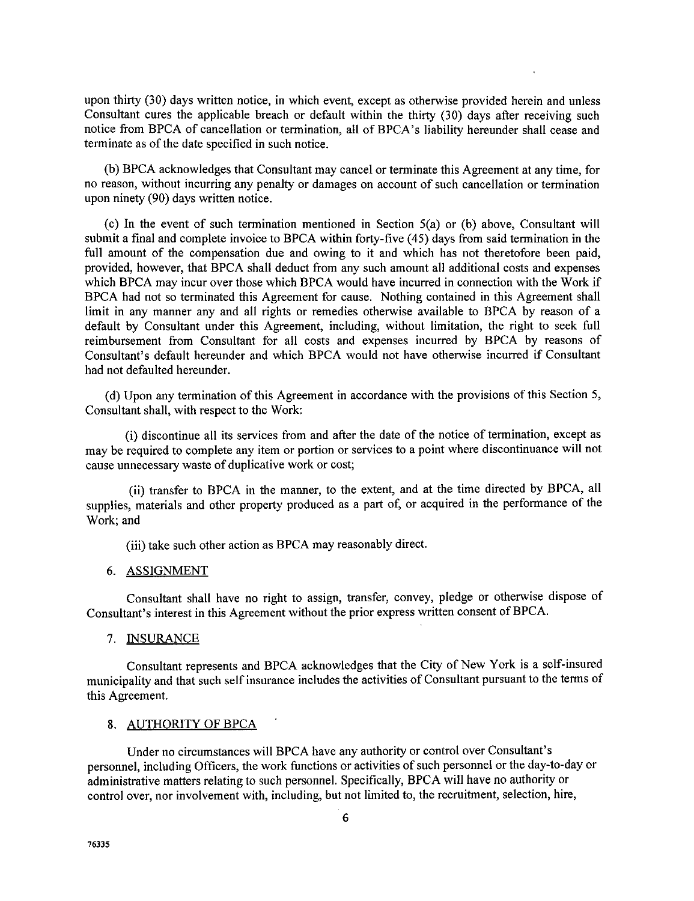upon thirty (30) days written notice, in which event, except as otherwise provided herein and unless Consultant cures the applicable breach or default within the thirty (30) days after receiving such notice from BPCA of cancellation or termination, all of BPCA's liability hereunder shall cease and terminate as of the date specified in such notice.

(b) BPCA acknowledges that Consultant may cancel or terminate this Agreement at any time, for no reason, without incurring any penalty or damages on account of such cancellation or termination upon ninety (90) days written notice.

(c) In the event of such termination mentioned in Section 5(a) or (b) above, Consultant will submit a final and complete invoice to BPCA within forty-five (45) days from said termination in the full amount of the compensation due and owing to it and which has not theretofore been paid, provided, however, that BPCA shall deduct from any such amount all additional costs and expenses which BPCA may incur over those which BPCA would have incurred in connection with the Work if BPCA had not so terminated this Agreement for cause. Nothing contained in this Agreement shall limit in any manner any and all rights or remedies otherwise available to BPCA by reason of a default by Consultant under this Agreement, including, without limitation, the right to seek full reimbursement from Consultant for all costs and expenses incurred by BPCA by reasons of Consultant's default hereunder and which BPCA would not have otherwise incurred if Consultant had not defaulted hereunder.

(d) Upon any termination of this Agreement in accordance with the provisions of this Section 5, Consultant shall, with respect to the Work:

(i) discontinue all its services from and after the date of the notice of termination, except as may be required to complete any item or portion or services to a point where discontinuance will not cause unnecessary waste of duplicative work or cost;

(ii) transfer to BPCA in the manner, to the extent, and at the time directed by BPCA, all supplies, materials and other property produced as a part of, or acquired in the performance of the Work; and

(iii) take such other action as BPCA may reasonably direct.

#### 6. ASSIGNMENT

Consultant shall have no right to assign, transfer, convey, pledge or otherwise dispose of Consultant's interest in this Agreement without the prior express written consent of BPCA.

### 7. INSURANCE

Consultant represents and BPCA acknowledges that the City of New York is a self-insured municipality and that such self insurance includes the activities of Consultant pursuant to the terms of this Agreement.

#### 8. AUTHORITY OF BPCA

Under no circumstances will BPCA have any authority or control over Consultant's personnel, including Officers, the work functions or activities of such personnel or the day-to-day or administrative matters relating to such personnel. Specifically, BPCA will have no authority or control over, nor involvement with, including, but not limited to, the recruitment, selection, hire,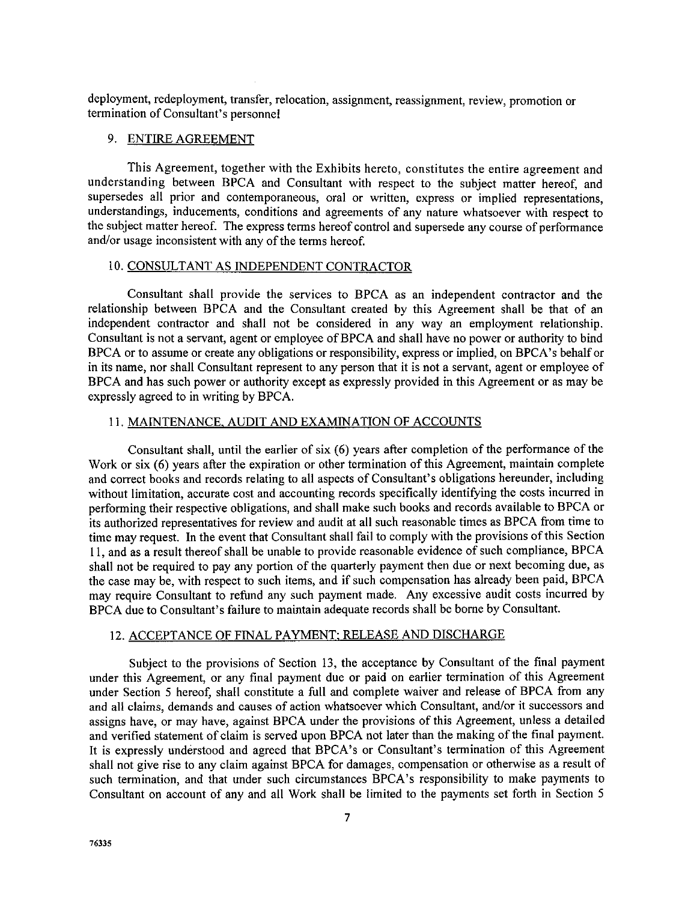deployment, redeployment, transfer, relocation, assignment, reassignment, review, promotion **or** termination of Consultant's personnel

# 9. ENTIRE AGREEMENT

This Agreement, together with the Exhibits hereto, constitutes the entire agreement and understanding between BPCA and Consultant with respect to the subject matter hereof, and supersedes all prior and contemporaneous, oral or written, express or implied representations. understandings, inducements, conditions and agreements of any nature whatsoever with respect to the subject matter hereof. The express terms hereof control and supersede any course of performance and/or usage inconsistent with any of the terms hereof.

### 10. CONSULTANT AS INDEPENDENT CONTRACTOR

Consultant shall provide the services to BPCA as an independent contractor and the relationship between BPCA and the Consultant created by this Agreement shall be that of an independent contractor and shall not be considered in any way an employment relationship. Consultant is not a servant, agent or employee of BPCA and shall have no power or authority to bind BPCA or to assume or create any obligations or responsibility, express or implied, on BPCA's behalf or in its name, nor shall Consultant represent to any person that it is not a servant, agent or employee of BPCA and has such power or authority except as expressly provided in this Agreement or as may be expressly agreed to in writing by BPCA.

## 11. MAINTENANCE, AUDIT AND EXAMINATION OF ACCOUNTS

Consultant shall, until the earlier of six (6) years after completion of the performance of the Work or six (6) years after the expiration or other termination of this Agreement, maintain complete and correct books and records relating to all aspects of Consultant's obligations hereunder, including without limitation, accurate cost and accounting records specifically identifying the costs incurred in performing their respective obligations, and shall make such books and records available to BPCA or its authorized representatives for review and audit at all such reasonable times as BPCA from time to time may request. In the event that Consultant shall fail to comply with the provisions of this Section 11, and as a result thereof shall be unable to provide reasonable evidence of such compliance, BPCA shall not be required to pay any portion of the quarterly payment then due or next becoming due, as the case may be, with respect to such items, and if such compensation has already been paid, BPCA may require Consultant to refund any such payment made. Any excessive audit costs incurred by BPCA due to Consultant's failure to maintain adequate records shall be borne by Consultant.

### 12. ACCEPTANCE OF FINAL PAYMENT; RELEASE AND DISCHARGE

Subject to the provisions of Section 13, the acceptance by Consultant of the final payment under this *Agreement,* or any final payment due or paid on earlier termination of this Agreement under Section 5 hereof, shall constitute a full and complete waiver and release of BPCA from any and all claims, demands and causes of action whatsoever which Consultant, and/or it successors and assigns have, or may have, against BPCA under the provisions of this Agreement, unless a detailed and verified statement of claim is served upon BPCA not later than the making of the final payment. It is expressly understood and agreed that BPCA's or Consultant's termination of this *Agreement* shall not give rise to any claim against BPCA for damages, compensation or otherwise as a result of such termination, and that under such circumstances BPCA's responsibility to make payments to Consultant on account of any and all Work shall be limited to the payments set forth in Section 5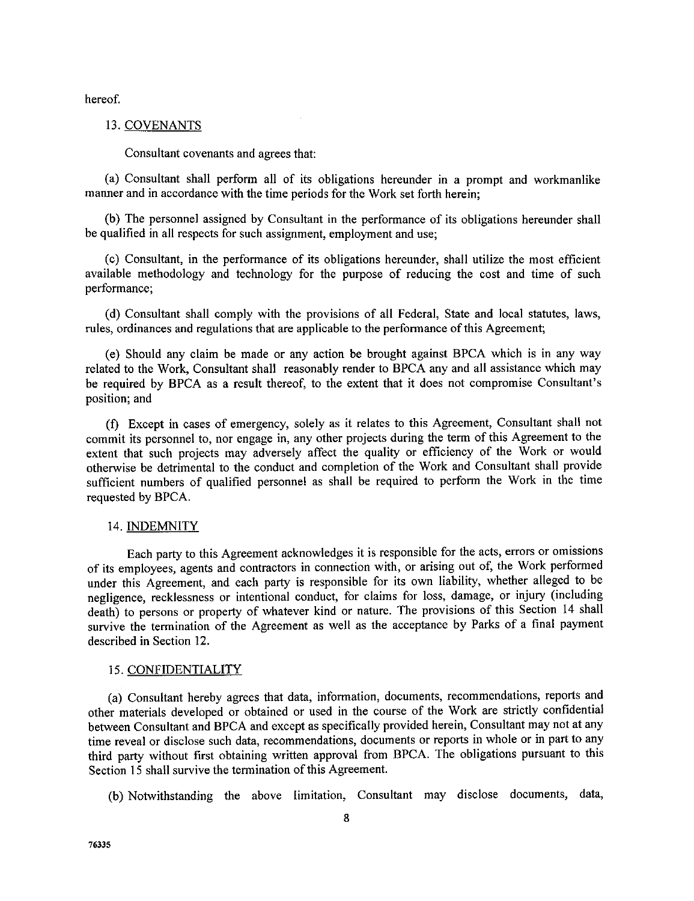hereof.

#### 13. COVENANTS

Consultant covenants and agrees that:

(a) Consultant shall perform all of its obligations hereunder in a prompt and workmanlike manner and in accordance with the time periods for the Work set forth herein;

(b) The personnel assigned by Consultant in the performance of its obligations hereunder shall be qualified in all respects for such assignment, employment and use;

(c) Consultant, in the performance of its obligations hereunder, shall utilize the most efficient available methodology and technology for the purpose of reducing the cost and time of such performance;

(d) Consultant shall comply with the provisions of all Federal, State and local statutes, laws, rules, ordinances and regulations that are applicable to the performance of this Agreement;

(e) Should any claim be made or any action be brought against BPCA which is in any way related to the Work, Consultant shall reasonably render to BPCA any and all assistance which may be required by BPCA as a result thereof, to the extent that it does not compromise Consultant's position; and

(f) Except in cases of emergency, solely as it relates to this Agreement, Consultant shall not commit its personnel to, nor engage in, any other projects during the term of this Agreement to the extent that such projects may adversely affect the quality or efficiency of the Work or would otherwise be detrimental to the conduct and completion of the Work and Consultant shall provide sufficient numbers of qualified personnel as shall be required to perform the Work in the time requested by BPCA.

#### 14. INDEMNITY

Each party to this Agreement acknowledges it is responsible for the acts, errors or omissions of its employees, agents and contractors in connection with, or arising out of, the Work performed under this Agreement, and each party is responsible for its own liability, whether alleged to be negligence, recklessness or intentional conduct, for claims for loss, damage, or injury (including death) to persons or property of whatever kind or nature. *The* provisions of this Section 14 shall survive the termination of the Agreement as well as the acceptance by Parks of a final payment described in Section 12.

#### 15. CONFIDENTIALITY

(a) Consultant hereby agrees that data, information, documents, recommendations, reports and other materials developed or obtained or used in the course of the Work are strictly confidential between Consultant and BPCA and except as specifically provided herein, Consultant may not at any time reveal or disclose such data, recommendations, documents or reports in whole or in part to any third party without first obtaining written approval from BPCA. The obligations pursuant to this Section 15 shall survive the termination of this Agreement.

(b) Notwithstanding the above limitation, Consultant may disclose documents, data,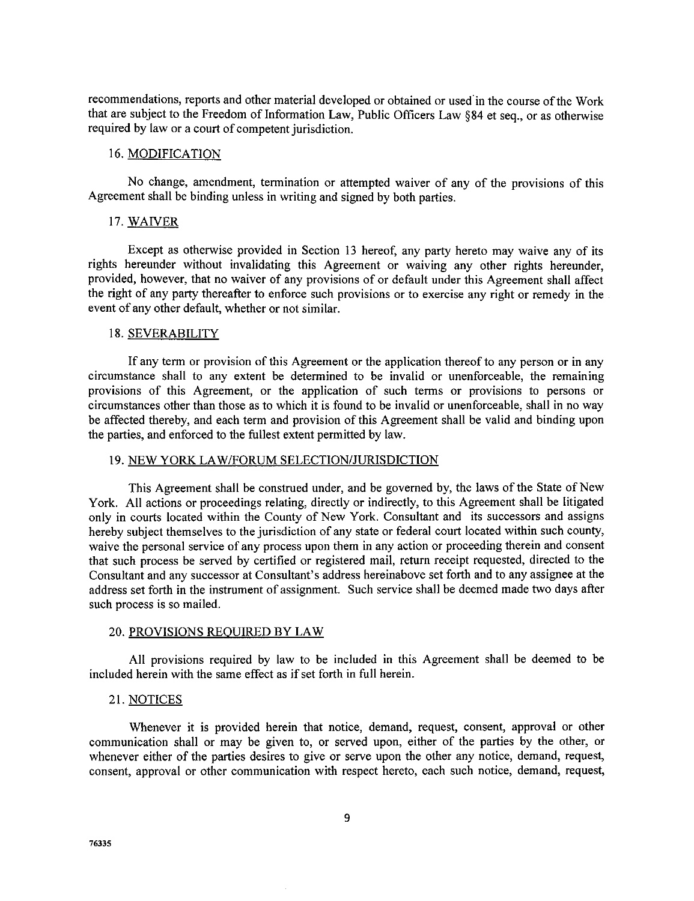**recommendations,** reports and other material developed or obtained or used in **the** course of the Work that are subject to the Freedom of Information Law, Public Officers Law §84 et seq., or as otherwise required by law or a court of competent jurisdiction.

### 16. MODIFICATION

No change, amendment, termination or attempted waiver of any of the provisions of this Agreement shall be binding unless in writing and signed by both parties.

### 17. WAIVER

Except as otherwise provided in Section 13 hereof, any party hereto may waive any of its rights hereunder without invalidating this Agreement or waiving any other rights hereunder, provided, however, that no waiver of any provisions of or default under this Agreement shall affect the right of any party thereafter to enforce such provisions or to exercise any right or remedy in the event of any other default, whether or not similar.

#### 18. SEVERABILITY

If any term or provision of this Agreement or the application thereof to any person or in any circumstance shall to any extent be determined to be invalid or unenforceable, the remaining provisions of this Agreement, or the application of such terms or provisions to persons or circumstances other than those as to which it is found to be invalid or unenforceable, shall in no way be affected thereby, and each term and provision of this Agreement shall be valid and binding upon the parties, and enforced to the fullest extent permitted by law.

#### 19. NEW YORK LAW/FORUM SELECTION/JURISDICTION

This Agreement shall be construed under, and be governed by, the laws of the State of New York. All actions or proceedings relating, directly or indirectly, to this *Agreement* shall be litigated only in courts located within the County of New York. Consultant and its successors and assigns hereby subject themselves to the jurisdiction of any state or federal court located within such county, waive the personal service of any process upon them in any action or proceeding therein and consent that such process be served by certified or registered mail, return receipt requested, directed to the Consultant and any successor at Consultant's address hereinabove set forth and to any assignee at the address set forth in the instrument of assignment. Such service shall be deemed made two days after such process is so mailed.

#### 20. PROVISIONS REQUIRED BY LAW

All provisions required by law to be included in this Agreement shall be deemed to be included herein with the same effect as if set forth in full herein.

### 21. NOTICES

Whenever it is provided herein that notice, demand, request, consent, approval or other communication shall or may be given to, or served upon, either of the parties by the other, or whenever either of the parties desires to give or serve upon the other any notice, demand, request, consent, approval or other communication with respect hereto, each such notice, demand, request,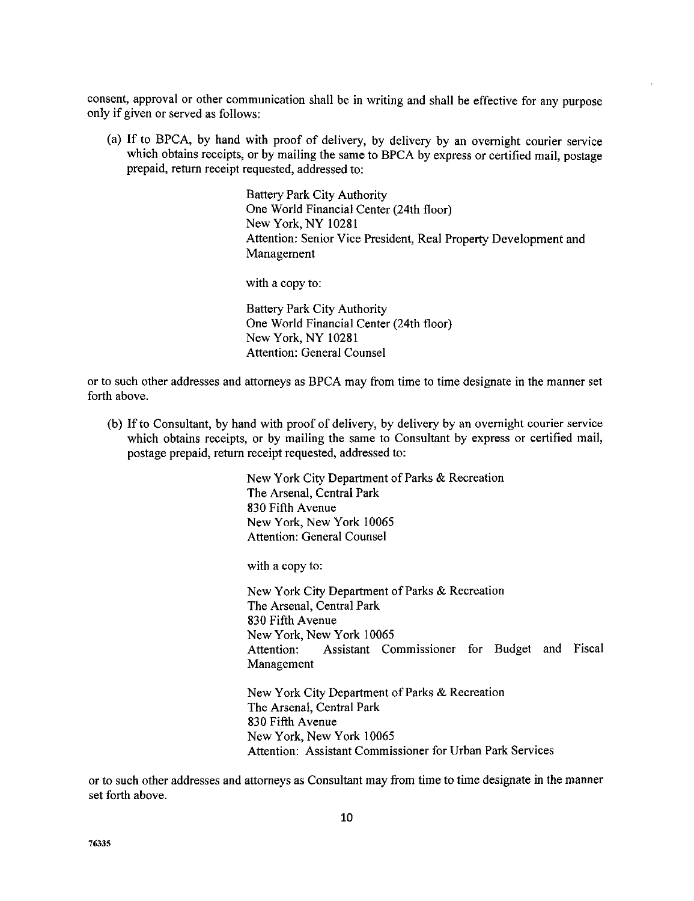consent, approval or other communication shall be in writing and shall be effective for any purpose only if given or served as follows:

(a) If to BPCA, by hand with proof of delivery, by delivery by an overnight courier service which obtains receipts, or by mailing the same to BPCA by express or certified mail, postage prepaid, return receipt requested, addressed to:

> Battery Park City Authority One World Financial Center (24th floor) New York, NY 10281 Attention: Senior Vice President, Real Property Development and Management

with a copy to:

Battery Park City Authority One World Financial Center (24th floor) New York, NY 10281 Attention: General Counsel

or to such other addresses and attorneys as BPCA may from time to time designate in the manner set forth above.

(b) If to Consultant, by hand with proof of delivery, by delivery by an overnight courier service which obtains receipts, or by mailing the same to Consultant by express or certified mail, postage prepaid, return receipt requested, addressed to:

> New York City Department of Parks & **Recreation** The **Arsenal,** Central Park 830 Fifth Avenue New York, New York 10065 Attention: General Counsel

with a copy to:

New York City Department of Parks & Recreation The Arsenal, Central Park 830 Fifth *Avenue* New York, New York 10065 Attention: Assistant Commissioner for Budget and Fisca Management

New York City Department of Parks & Recreation The Arsenal, Central Park 830 Fifth Avenue New York, New York 10065 Attention: Assistant Commissioner for Urban Park Services

or to such other addresses and attorneys as Consultant may from time to time designate in the manne set forth above.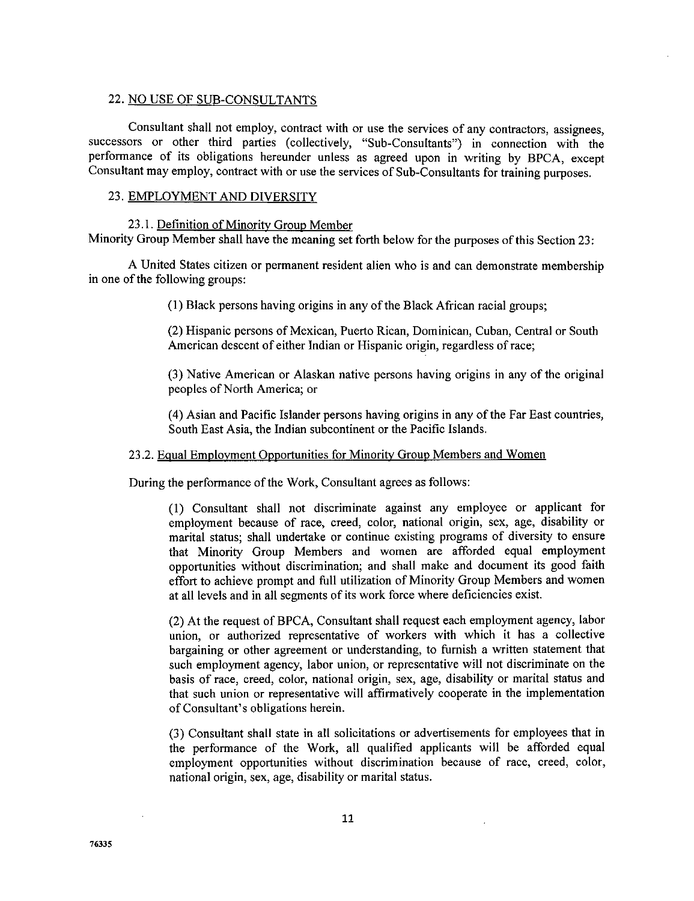### 22. NO USE OF SUB-CONSULTANTS

Consultant shall not employ, contract with or use the services of any contractors, assignees, successors or other third parties (collectively, "Sub-Consultants") in connection with the performance of its obligations hereunder unless as agreed upon in writing by BPCA, except Consultant may employ, contract with or use the services of Sub-Consultants for training purposes.

## 23. EMPLOYMENT AND DIVERSITY

#### 23. I. Definition of Minority Group Member

Minority Group Member shall have the meaning set forth below for the purposes of this Section 23:

A United States citizen or permanent resident alien **who** is and can demonstrate membership in one of the following groups:

(1) Black persons having origins in any of the Black African racial groups;

(2) Hispanic persons of Mexican, Puerto Rican, Dominican, Cuban, Central or South American descent of either Indian or Hispanic origin, regardless of race;

(3) Native American or Alaskan native persons having **origins** in any of the **original** peoples of North America; or

(4) Asian and Pacific Islander persons having origins in any of the Far East countries, South East Asia, the Indian subcontinent or the Pacific Islands.

#### 23.2. Equal Employment Opportunities for Minority Group Members and Women

During the performance of the Work, Consultant agrees as follows:

(1) Consultant shall not discriminate against any employee or applicant for employment because of race, creed, color, national origin, sex, age, disability or marital status; shall undertake or continue existing programs of diversity to ensure that Minority Group Members and women are afforded equal employment opportunities without discrimination; and shall make and document its good faith effort to achieve prompt and full utilization of Minority Group Members and women at all levels and in all segments of its work force where deficiencies exist.

(2) At the request of BPCA, Consultant shall request each employment agency, labor union, or authorized representative of workers with which it has a collective bargaining or other agreement or understanding, to furnish a written statement that such employment agency, labor union, or representative will not discriminate on the basis of race, creed, color, national origin, sex, age, disability or marital status and that such union or representative will affirmatively cooperate in the implementation of Consultant's obligations herein.

(3) Consultant shall state in all solicitations or advertisements for employees that in the performance of the Work, all qualified applicants will be afforded equal employment opportunities without discrimination because of race, creed, color, national origin, sex, age, disability or marital status.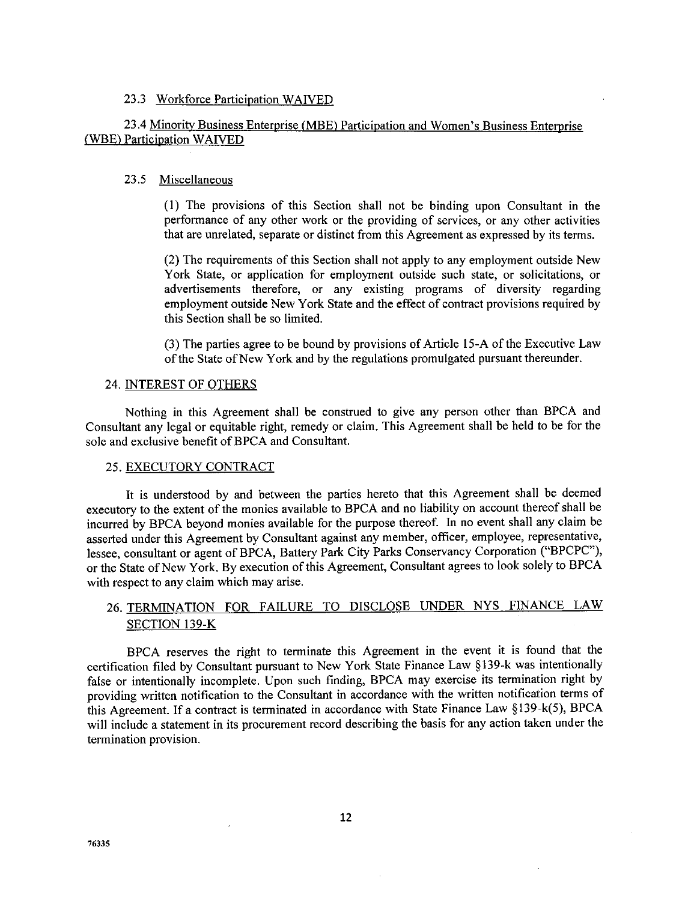### 23.3 Workforce Participation WAIVED

# 23.4 Minority Business Enterprise *(MBE)* Participation and Women's Business Enterprise *(WBE)* Participation WAIVED

#### 23.5 Miscellaneous

(1) The provisions of this Section shall not be binding upon Consultant in the performance of any other work or the providing of services, or any other activities that are unrelated, separate or distinct from this Agreement as expressed by its terms.

(2) The requirements of this Section shall not apply to any employment outside New York State, or application for employment outside such state, or solicitations, or advertisements therefore, or any existing programs of diversity regarding employment outside New York State and the effect of contract provisions required by this Section shall be so limited.

(3) The parties agree to be bound by provisions of Article 15-A of the Executive Law of the State of New York and by the regulations promulgated pursuant thereunder.

#### 24. INTEREST OF OTHERS

Nothing in this Agreement shall be construed to give any person other than BPCA and Consultant any legal or equitable right, remedy or claim. This Agreement shall be held to be for the sole and exclusive benefit of BPCA and Consultant.

## 25. EXECUTORY CONTRACT

It is understood by and between the parties hereto that this Agreement shall be deemed executory to the extent of the monies available to BPCA and no liability on account thereof shall be incurred by BPCA beyond monies available for the purpose thereof. In no event shall any claim be asserted under this Agreement by Consultant against any member, officer, employee, representative, lessee, consultant or agent of BPCA, Battery Park City Parks Conservancy Corporation ("BPCPC"), or the State of New York. By execution of this Agreement, Consultant agrees to look solely to BPCA with respect to any claim which may arise.

# 26. TERMINATION FOR FAILURE TO DISCLOSE UNDER NYS FINANCE LAW SECTION 139-K

BPCA reserves the right to terminate this Agreement in the event it is found that the certification filed by Consultant pursuant to New York State Finance Law § 139-k was intentionally false or intentionally incomplete. Upon such finding, BPCA may exercise its termination right by providing written notification to the Consultant in accordance with the written notification terms of this Agreement. If a contract is terminated in accordance with State Finance Law § 139-k(5), BPCA will include a statement in its procurement record describing the basis for any action taken under the termination provision.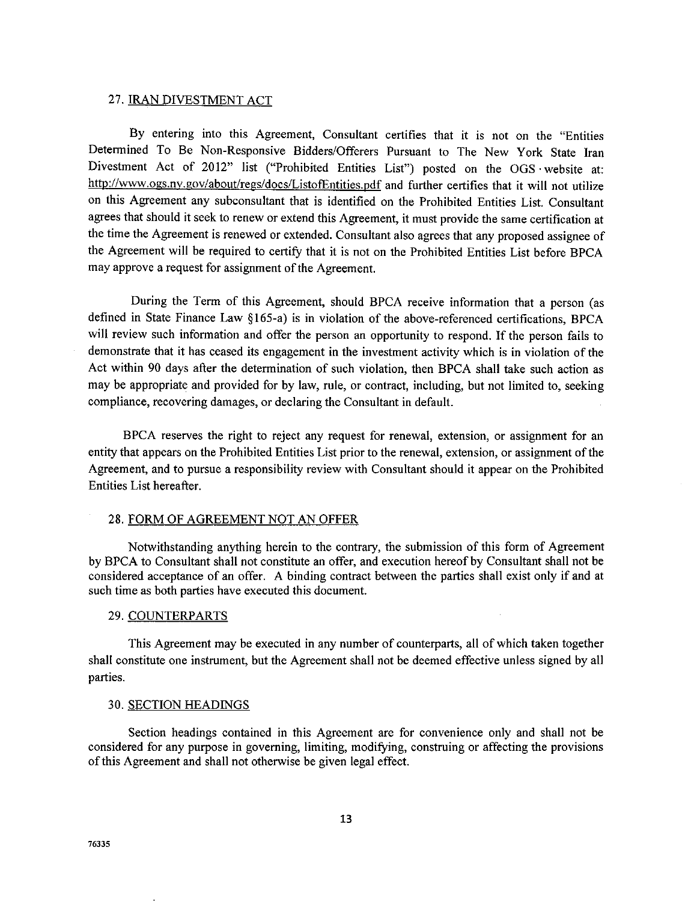## 27. IRAN DIVESTMENT ACT

By entering into this Agreement, Consultant certifies that it is not on the "Entities Determined To Be Non-Responsive Bidders/Offerers Pursuant to The New York State lran Divestment Act of 2012" list ("Prohibited Entities List") posted on the OGS website at: http://www.ogs.ny.gov/about/regs/docs/ListofEntities.pdf and further certifies that it will not utilize on this Agreement any subconsultant that is identified on the Prohibited Entities List. Consultant agrees that should it seek to renew or extend this Agreement, it must provide the same certification at the time the Agreement is renewed or extended. Consultant also agrees that any proposed assignee of the Agreement will be required to certify that it is not on the Prohibited Entities List before BPCA may approve a request for assignment of the Agreement.

During the Term of this Agreement, should BPCA receive information that a person (as defined in State Finance Law § 165-a) is in violation of the above-referenced certifications, BPCA will review such information and offer the person an opportunity to respond. If the person fails to demonstrate that it has ceased its engagement in the investment activity which is in violation of the Act within 90 days after the determination of such violation, then BPCA shall take such action as may be appropriate and provided for by law, rule, or contract, including, but not limited to, seeking compliance, recovering damages, or declaring the Consultant in default.

BPCA reserves the right to reject any request for renewal, extension, or assignment for an entity that appears on the Prohibited Entities List prior to the renewal, extension, or assignment of the Agreement, and to pursue a responsibility review with Consultant should it appear on the Prohibited Entities List hereafter.

#### 28. FORM OF AGREEMENT NOT AN OFFER

Notwithstanding anything herein to the contrary, the submission of this form of Agreement by BPCA to Consultant shall not constitute an offer, and execution hereof by Consultant shall not be considered acceptance of an offer. A binding contract between the parties shall exist only if and at such time as both parties have executed this document.

#### 29. COUNTERPARTS

This Agreement may be executed in any number of counterparts, all of which taken together shall constitute one instrument, but the Agreement shall not be deemed effective unless signed by all parties.

#### 30. SECTION HEADINGS

Section headings contained in this Agreement are for convenience only and shall not be considered for any purpose in governing, limiting, modifying, construing or affecting the provisions of this Agreement and shall not otherwise be given legal effect.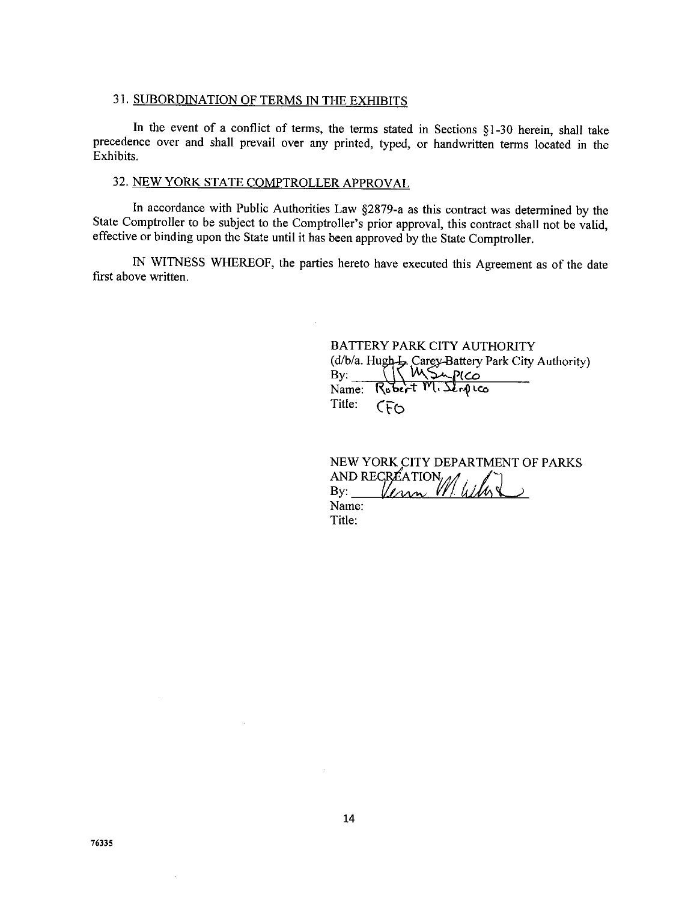## 31. SUBORDINATION OF TERMS IN THE EXHIBITS

In the event of a conflict of terms, the terms stated in Sections §1-30 herein, shall take precedence over and shall prevail over any printed, typed, or handwritten terms located in the Exhibits.

# 32. NEW YORK STATE COMPTROLLER APPROVAl,

In accordance with Public Authorities Law §2879-a as this contract was determined by the State Comptroller to be subject to the Comptroller's prior approval, this contract shall not be valid, effective or binding upon the State until it has been approved by the State Comptroller.

IN WITNESS WHEREOF, the parties hereto have executed this Agreement as of the date first above written.

> BATTERY PARK CITY AUTHORITY (d/b/a. Hu\_. *,Carc\_-Battery* Park City Authority) By:  $\qquad \qquad \backslash \ \backslash \ \vee \sim$  $Name:$  Robert  $M.S.$ Title:  $CFO$

NEW YORK CITY DEPARTMENT OF PARKS AND RECREATION Unn Name: Title: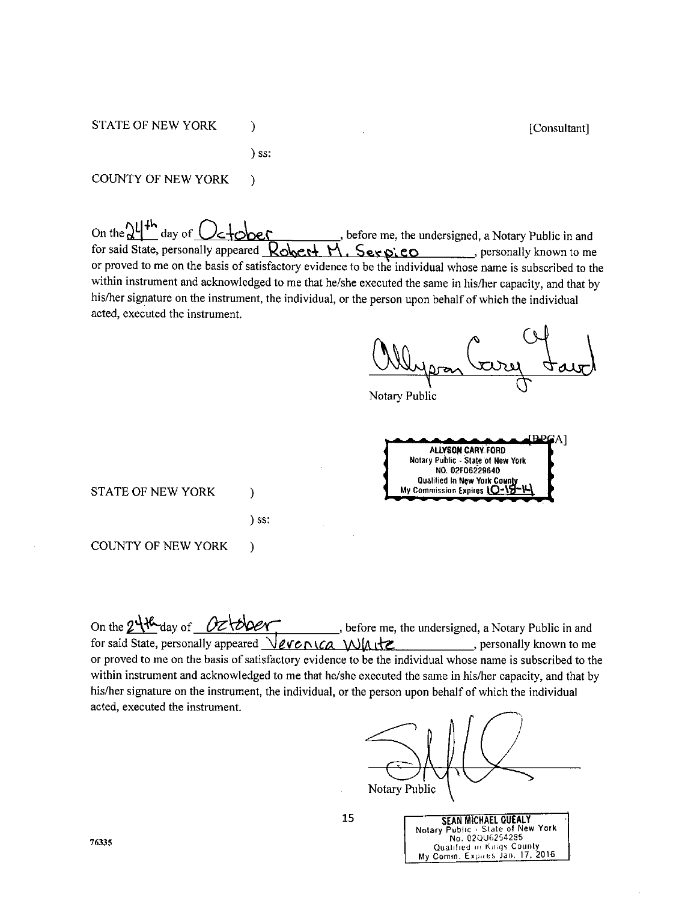**STATE OF NEW YORK** 

) SS:

)

)

COUNTY OF NEW YORK

On the  $2L^{1+h}$  day of  $Oc+$ **bere**, where me, the undersigned, a Notary Public in and for said State, personally appeared  $R$ obert  $H$ . Serpico , personally known to me or proved to me on the basis of satisfactory evidence to be the individual whose name is subscribed to the within instrument and acknowledged to me that he/she executed the same in his/her capacity, and that by his/her signature on the instrument, the individual, or the person upon behalf of which the individual acted, executed the instrument.

[Consultant]

Notary Public

**BPGA ALLYSON CARY. FORD NotaryPubtic- Stateof NewYolk NO. 02F062"29640** Qualified in New York Cour<br>Ny Commission Expires <u>10+1</u>

STATE OF NEW YORK

) SS:

)

COUNTY OF NEW YORK )

On the 2<sup>1</sup>th day of <u>O</u>ztoler, beforeme, the undersigned, a Notary Public in and for said State, personally appeared  $\sqrt{\ell \kappa} \wedge \ell \alpha \vee \ell \Lambda$  the set of the personally known to me or proved to me on the basis of satisfactory evidence to be the individual whose name is subscribed to the within instrument and acknowledged to me that he/she executed the same in his/her capacity, and that by his/her signature on the instrument, the individual, or the person upon behalf of which the individual acted, executed the instrument.

Notary Public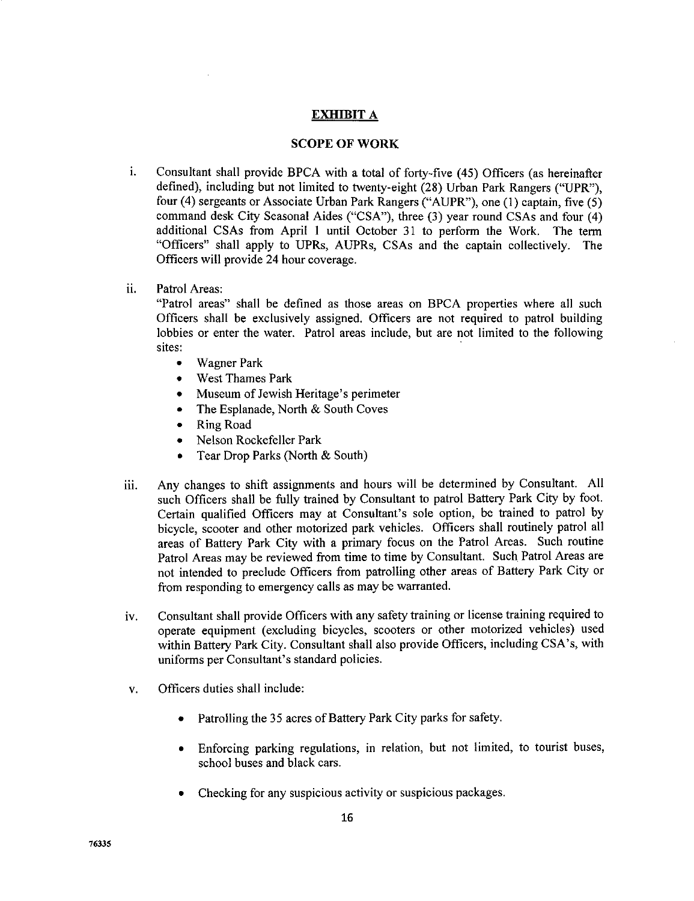# EXHIBIT A

## **SCOPE** OF WORK

- i. Consultant shall provide BPCA with a total of forty-five (45) Officers (as hereinafter defined), including but not limited to twenty-eight (28) Urban Park Rangers ("UPR"), four (4) sergeants or Associate Urban Park Rangers ("AUPR"), one (1) captain, five (5) command desk City Seasonal Aides ("CSA"), three (3) year round CSAs and four (4) additional CSAs from April 1 until October 31 to perform the Work. The term "Officers" shall apply to UPRs, AUPRs, CSAs and the captain collectively. The Officers will provide 24 hour coverage.
- ii. Patrol Areas:

"Patrol areas" shall be defined as those **areas** on BPCA properties where **all** such Officers shall be exclusively assigned. Officers are not required to patrol building lobbies or enter the water. Patrol areas include, but are not limited to the following sites:

- Wagner Park
- West Thames Park
- Museum of Jewish Heritage's perimeter
- The Esplanade, North & South Coves
- Ring Road
- Nelson Rockefeller Park
- Tear Drop Parks (North & South)
- iii. Any changes to shift assignments and hours will be determined by Consultant. All such Officers shall be fully trained by Consultant to patrol Battery Park City by foot. Certain qualified Officers may at Consultant's sole option, be trained to patrol by bicycle, scooter and other motorized park vehicles. Officers shall routinely patrol all areas of Battery Park City with a primary focus on the Patrol Areas. Such routine Patrol Areas may be reviewed from time to time by Consultant. Such Patrol Areas are not intended to preclude Officers from patrolling other areas of Battery Park City or from responding to emergency calls as may be warranted.
- iv. Consultant shall provide Officers with any safety training or license training required to operate equipment (excluding bicycles, scooters or other motorized vehicles) used within Battery Park City. Consultant shall also provide Officers, including CSA's, with uniforms per Consultant's standard policies.
- v. Officers duties shall include:
	- Patrolling the 35 acres of Battery Park City parks for safety.
	- Enforcing parking regulations, in relation, but not limited, to tourist buses, school buses and black cars.
	- Checking for any suspicious activity or suspicious packages.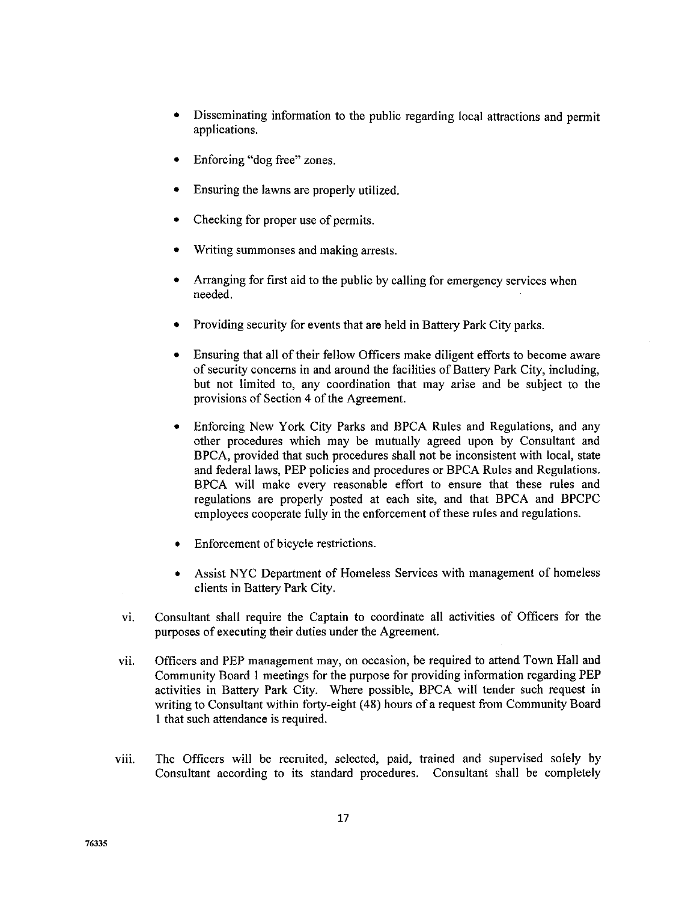- **•** Disseminating information to the public regarding local attractions and permit applications.
- Enforcing "dog free" zones.
- Ensuring the lawns are properly utilized.
- Checking for proper use of permits.
- Writing summonses and making arrests.
- **•** Arranging for first aid to the public by calling for emergency services when needed.
- **•** Providing security for events that are held in Battery Park City parks.
- Ensuring that all of their fellow Officers make diligent efforts to become aware of security concerns in and around the facilities of Battery Park City, including, but not limited to, any coordination that may arise and be subject to the provisions of Section 4 of the Agreement.
- $\bullet$ Enforcing New York City Parks and BPCA Rules and Regulations, and any other procedures which may be mutually agreed upon by Consultant and BPCA, provided that such procedures shall not be inconsistent with local, state and federal laws, PEP policies and procedures or BPCA Rules and Regulations. BPCA will make every reasonable effort to ensure that these rules and regulations are properly posted at each site, and that BPCA and BPCPC employees cooperate fully in the enforcement of these rules and regulations.
- Enforcement of bicycle restrictions.
- Assist NYC Department of Homeless Services with management of homeless clients in Battery Park City.
- vi. Consultant shall require the Captain to coordinate all activities of Officers for the purposes of executing their duties under the *Agreement.*
- vii. Officers and PEP management may, on occasion, be required to attend Town Hall and Community Board 1 meetings for the purpose for providing information regarding PEP activities in Battery Park City. Where possible, BPCA will tender such request in writing to Consultant within forty-eight (48) hours of a request from Community Board 1 that such attendance is required.
- viii. The Officers will be recruited, selected, paid, trained and supervised solely by Consultant according to its standard procedures. Consultant shall be completely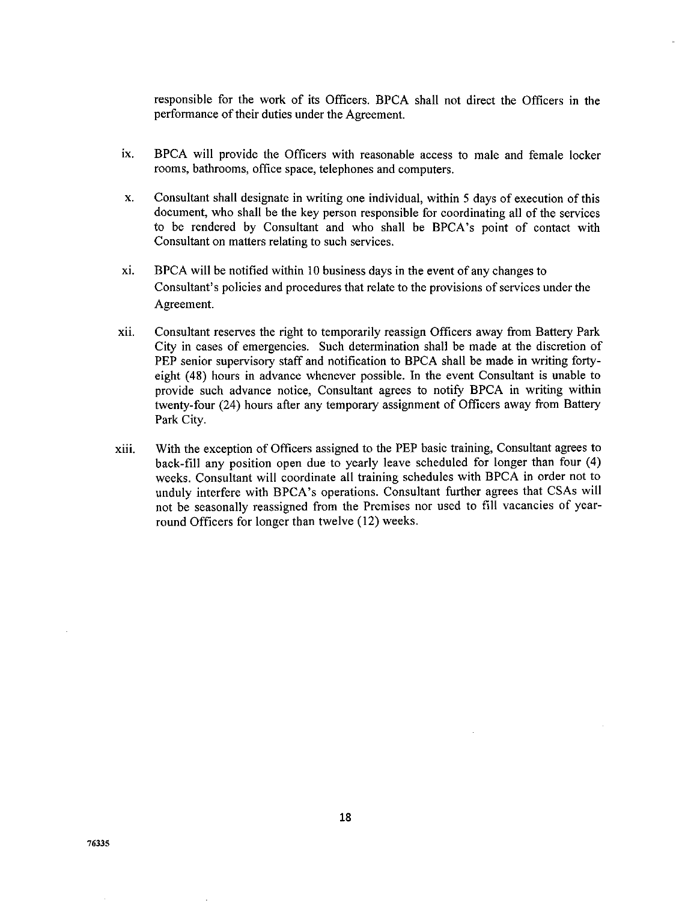responsible for the work of its Officers. BPCA shall not direct the Officers in **the** performance of their duties under the Agreement.

- ix. BPCA will provide the Officers with reasonable access to male and female locker rooms, bathrooms, office space, telephones and computers.
- X, Consultant shall designate in writing one **individual,** within 5 days **of** execution of this document, who shall be the key person responsible for coordinating all of the services to be rendered by Consultant and who shall be BPCA's point of contact with Consultant on matters relating to such services.
- xi. BPCA will be notified within 10 business days in the event of any changes to Consultant's policies and procedures that relate to the provisions of services under the Agreement.
- xii. Consultant reserves the right to temporarily reassign Officers away from Battery Park City in cases of emergencies. Such determination shall be made at the discretion of PEP senior supervisory staff and notification to BPCA shall be made in writing fortyeight (48) hours in advance whenever possible. In the event Consultant is unable to provide such advance notice, Consultant agrees to notify BPCA in writing within twenty-four (24) hours after any temporary assignment of Officers away from Battery Park City.
- xiii. With the exception of Officers assigned to the PEP basic training, Consultant agrees to back-fill any position open due to yearly leave scheduled for longer than four (4) weeks. Consultant will coordinate all training schedules with BPCA in order not to unduly interfere with BPCA's operations. Consultant further agrees that CSAs will not be seasonally reassigned from the Premises nor used to fill vacancies of yearround Officers for longer than twelve (12) weeks.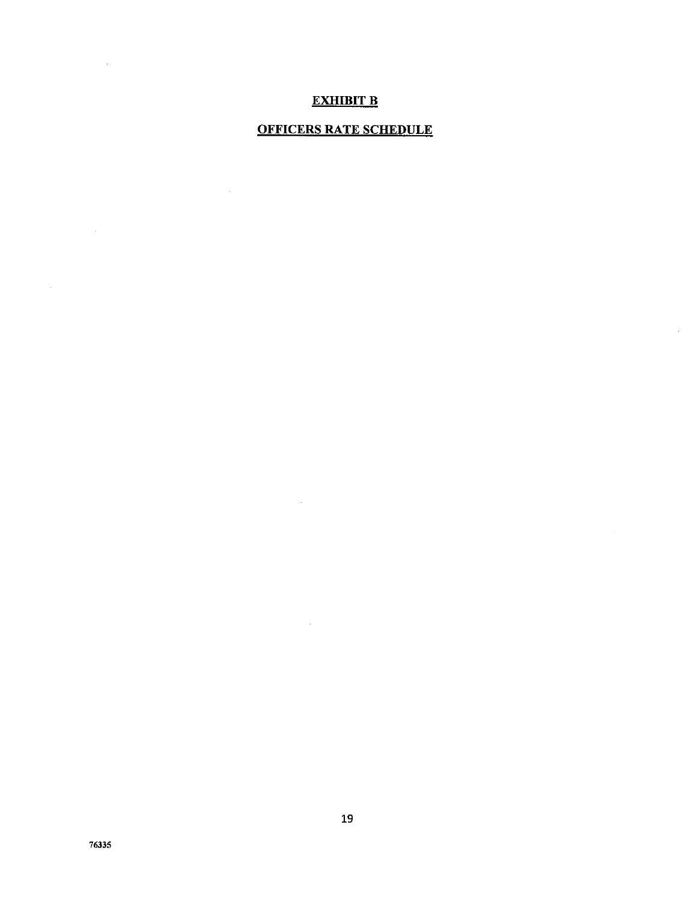# **EXHIBIT B**

# **OFFICERS RATE SCHEDULE**

 $\sim 100$ 

 $\sim 10^6$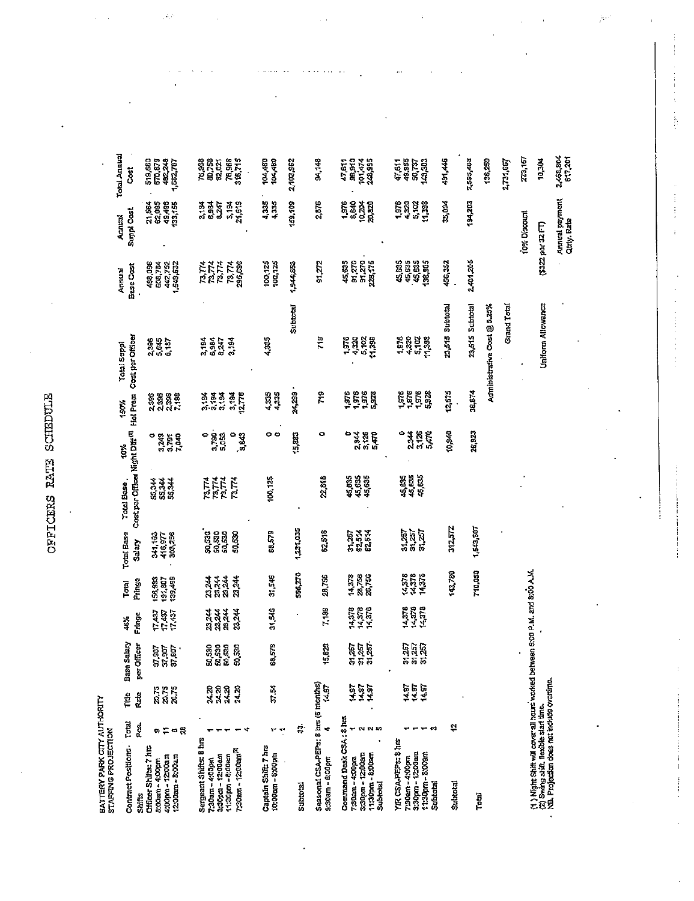E<br>TC

 $\frac{1}{2}$ 

 $\langle \hat{u}_k \rangle$ 

 $\epsilon$ 

| BATTERY PARK CITY AUTHORITY<br>STAFFING PROJECTION                                                                                                               |                         |                         |                            |                            |                                                              |                               |                                            |                        |                            |                                 |                                   |                                |                            |
|------------------------------------------------------------------------------------------------------------------------------------------------------------------|-------------------------|-------------------------|----------------------------|----------------------------|--------------------------------------------------------------|-------------------------------|--------------------------------------------|------------------------|----------------------------|---------------------------------|-----------------------------------|--------------------------------|----------------------------|
| Contract Positions-                                                                                                                                              | <b>Total</b>            | Ë                       | Salary<br>Base:            | Ş                          | Total                                                        | Total Base                    | Total Base,                                | tor.                   | Hol Prem<br>150%           | Cost per Officer<br>Total Suppl | Base Cost<br>Annual               | Suppi Cost<br>Annual           | Total Annual<br>š          |
| Shifts                                                                                                                                                           | វ្ត                     | Rate                    | per Officer                | Fringe                     | Fringe                                                       | Salary                        | Cost per Officer Night Diff <sup>(1)</sup> |                        |                            |                                 |                                   |                                |                            |
| Cifficer Shifts: 7 hrs<br>8:00am - 4:00pm                                                                                                                        | ø                       |                         |                            |                            | $\begin{array}{c} 155,933 \\ 191,807 \\ 139,496 \end{array}$ | 341,163<br>416.977<br>303,256 | 224<br>234<br>234                          | o                      | <b>99888</b><br>28888      | 2385<br>3.645<br>6.187          | 498,096                           | <b>188888</b><br>68488<br>6846 | 519,650<br>670,879         |
| 4:00pm = 12:00am                                                                                                                                                 |                         | 20.75<br>20.75<br>20.75 | 97,907<br>97,907<br>97,907 | 1743<br>1743<br>1743       |                                                              |                               |                                            |                        |                            |                                 |                                   |                                |                            |
| $1200$ am - $300$ am                                                                                                                                             | $= 0.8$                 |                         |                            |                            |                                                              |                               |                                            | 3263<br>3.783<br>7.040 |                            |                                 | 1508,7782<br>402,752<br>1,509,632 |                                | 482,248<br>1,582,787       |
| Sergeant Shifts: 8 hrs                                                                                                                                           |                         |                         |                            |                            |                                                              |                               |                                            |                        |                            |                                 |                                   |                                |                            |
| 7:30am - 4:00pm                                                                                                                                                  |                         | 24.20                   |                            |                            |                                                              |                               |                                            |                        |                            |                                 |                                   |                                |                            |
| 3:30pm - 12:00am<br>11:30pm - 8:00am                                                                                                                             |                         | 74.20<br>74.20          | និង<br>ទីនិង<br>ទីនិង      | सूत्रम्<br>विवेश           | n<br>Nan<br>Nan                                              | .<br>និងនិង<br>ទីកូនី         | nne<br>Nne<br>Nne                          | ិទ្ធនេះ<br>តំនួន       | ង<br>ភូមិ<br>ភូមិ          | 2,194<br>6,984<br>8,247         | <b>RATA</b><br>RATA               | 335<br>335                     | 76,988<br>80,758<br>82,027 |
|                                                                                                                                                                  |                         |                         |                            |                            |                                                              |                               | 73,774                                     | ۰                      |                            | 3.34                            |                                   | 3,188                          | 76,968<br>316,715          |
| 7:30am - 12:00am <sup>p</sup>                                                                                                                                    |                         | 24.20                   | 50,530                     | 23,244                     | <b>23.244</b>                                                | 50,530                        |                                            | 3.843                  | 3,184<br>12,776            |                                 | 73,774<br>295,1996                |                                |                            |
| Captain Shift: 7 hrs<br>10:00am - 6:00pm                                                                                                                         | ٣                       | 37.54                   | 68,573                     | 31,546                     | 31,346                                                       | 63.579                        | 100,125                                    | o o                    | $\frac{4335}{4335}$        | 4,335                           | $100, 125$<br>$100, 125$          | 4,335<br>4,335                 | 104,450<br>104,450         |
|                                                                                                                                                                  |                         |                         |                            |                            |                                                              |                               |                                            |                        |                            |                                 |                                   |                                |                            |
| <b>Subtotal</b>                                                                                                                                                  | ġ.                      |                         |                            |                            | 566,270                                                      | 1,231,035                     |                                            | 15,883                 | 24,293 -                   | Suptotal                        | 1,544,85.                         | 139,109                        | 2,103,362                  |
| Seasonal CSA-PEPs: 8 hrs (6 months)<br>9:30am - 6:00pm                                                                                                           | ÷                       | 14.97                   | 5,823                      | 7,189                      | 28,755                                                       | 62,518                        | 22,518                                     | ۰                      | 719                        | $\frac{9}{10}$                  | 91 ZZ                             | 2,576                          | 94,148                     |
| Command Desk CSA: 8 hts                                                                                                                                          |                         |                         |                            |                            |                                                              |                               |                                            | ۰                      |                            |                                 | 45,635                            | $1,376$<br>$3,56$              | 47,611                     |
| 7:30am - 4:00pm                                                                                                                                                  |                         | 14,97<br>14.57          |                            | ម្ពុជា<br>អង្គា            | 14.378<br>28.756<br>28.756                                   | 31,257                        | 45,635<br>45,635<br>45,635                 | 2,344<br>3,126         |                            |                                 |                                   |                                | 39,910                     |
| 3:30pm + 12:00am<br>1130pm - 8:00am<br><b>Subtotal</b>                                                                                                           | <b>NN</b> <sub>10</sub> | 14.97                   | ឆ្អូត្ត<br>ទីទីនិ          |                            |                                                              | 62.514<br>62.514              |                                            | <b>GATO</b>            | ន្ត្រីចិន្ត្               | <b>15888</b><br>1988<br>1988    | 91,270<br>91,270<br>228,175       | <u>្ងៃ រូប្លូ</u>              | 101,474<br>248,995         |
|                                                                                                                                                                  |                         |                         |                            |                            |                                                              |                               |                                            |                        |                            |                                 |                                   |                                |                            |
| YIR CSA-PEPS: 8 http<br>7:30am - 4:00pm                                                                                                                          |                         |                         |                            |                            |                                                              |                               |                                            | ۰                      |                            |                                 | 45,635                            |                                | 47,611<br>49,955           |
| 3:30pm - 12:03am<br>11:30an - 8:00an                                                                                                                             |                         | 14.97<br>14.97<br>14.97 | ធ្នូ<br>តួគួរ<br>តត        | 14,378<br>14,378<br>14,378 | 11375<br>11375<br>11375                                      | អ៊ីអ៊ីអ៊ី<br>ទីទីនី           | 44 4<br>44 4<br>45 52                      | 3,125<br>2344<br>5,470 | ត្ត<br>ទីភូមិ<br>- - - - - | 1920<br>4320<br>4310<br>1123    | 45,635<br>136,905                 | <b>2222</b><br>- 4522          | 50,737<br>148,888          |
| <b>Subtotal</b>                                                                                                                                                  | 57                      |                         |                            |                            |                                                              |                               |                                            |                        |                            |                                 |                                   |                                |                            |
| Subtotal                                                                                                                                                         | t,                      |                         |                            |                            | 143,780                                                      | 312,572                       |                                            | $10,3-11$              | 12,57.5                    | 23,515 Subtotal                 | 456,352                           | 35,094                         | 491,445                    |
| Towl                                                                                                                                                             |                         |                         |                            |                            | 710,050                                                      | 1,543,507                     |                                            | 26,823                 | 36,874                     | 23,515 Subtotal                 | 2,401.205                         | 202,44                         | 2,555,403                  |
|                                                                                                                                                                  |                         |                         |                            |                            |                                                              |                               |                                            |                        |                            | Administrative Cost @ 5.25%     |                                   |                                | 138,259                    |
|                                                                                                                                                                  |                         |                         |                            |                            |                                                              |                               |                                            |                        |                            | Grand Total                     |                                   |                                | 2,731,667                  |
|                                                                                                                                                                  |                         |                         |                            |                            |                                                              |                               |                                            |                        |                            |                                 |                                   | to% Discount                   | 273,167                    |
| (1 ) Night Shik will cover all hours worked between 6:00 P.M. and 8:00 A.M.<br>(2) Swing shik, flexible start link.<br>NB. Projection does not include overtime. |                         |                         |                            |                            |                                                              |                               |                                            |                        |                            | Uniform Allowancz               |                                   | (\$322 per 32 FT)              | 10,304                     |
|                                                                                                                                                                  |                         |                         |                            |                            |                                                              |                               |                                            |                        |                            |                                 |                                   | Annual payment<br>Citrly, Rate | 2,468,804<br>617,201       |

 $\frac{1}{2}e^{i\phi}$ 

医子宫下的 医鼻腔

 $\frac{1}{2}$ 

 $\frac{1}{2}$ 

j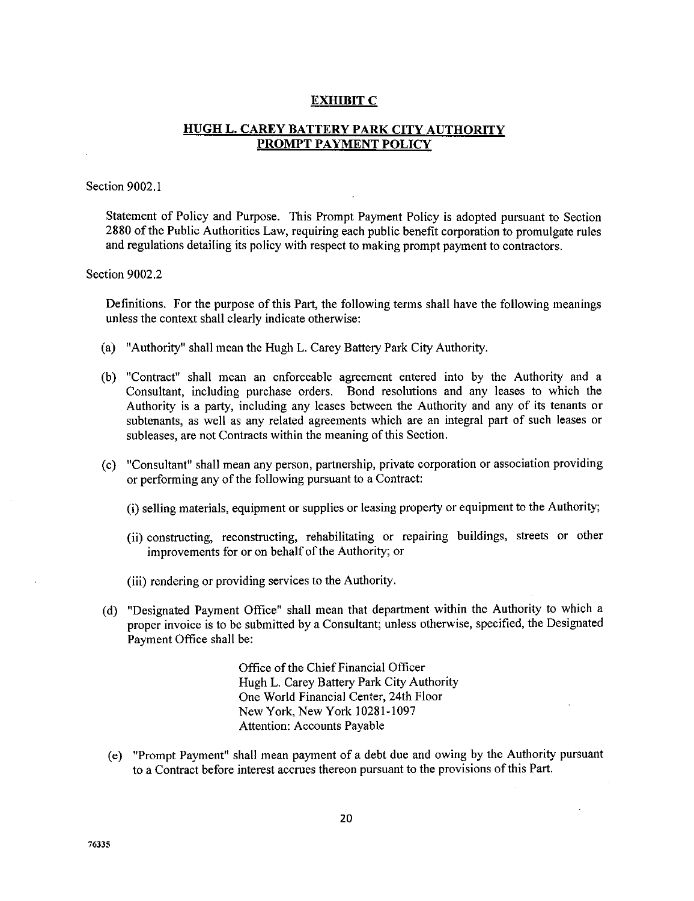# **EXHIBIT** C

# **HUGH** L. CAREY **BATTERY PARK** CITY **AUTHORITY PROMPT PAYMENT POLICY**

# Section 9002.1

Statement of **Policy** and Purpose. This **Prompt** Payment Policy is adopted pursuant to **Section** 2880 of the Public Authorities Law, requiring each public benefit corporation to promulgate rules and regulations detailing its policy with respect to making prompt payment to contractors.

### Section 9002.2

Definitions. For the purpose of this Part, the following terms shall have the following meanings unless the context shall clearly indicate otherwise:

- (a) "Authority" shall mean the Hugh L. Carey Battery Park City Authority.
- (b) "Contract" shall mean an enforceable agreement entered into by the Authority and a Consultant, including purchase orders. Bond resolutions and any leases to which the Authority is a party, including any leases between the Authority and any of its tenants or subtenants, as well as any related agreements which are an integral part of such leases or subleases, are not Contracts within the meaning of this Section.
- (c) "Consultant" shall mean any person, partnership, private corporation or association providing or performing any of the following pursuant to a Contract:
	- (i) selling materials, equipment or supplies or leasing property or equipment to the Authority;
	- (ii) constructing, reconstructing, rehabilitating or repairing buildings, streets or other improvements for or on behalf of the Authority; or
	- (iii) rendering **or** providing services to the Authority.
- (d) "Designated Payment Office" shall mean that department within the Authority to which a proper invoice is to be submitted by a Consultant; unless otherwise, specified, the Designated Payment Office shall be:

Office of the Chief Financial Officer Hugh L. Carey Battery Park City Authority One World Financial Center, 24th Floor New York, New York 10281-1097 Attention: Accounts Payable

(e) "Prompt Payment" shall mean payment of a debt due and owing by the Authority pursuant to a Contract before interest accrues thereon pursuant to the provisions of this Part.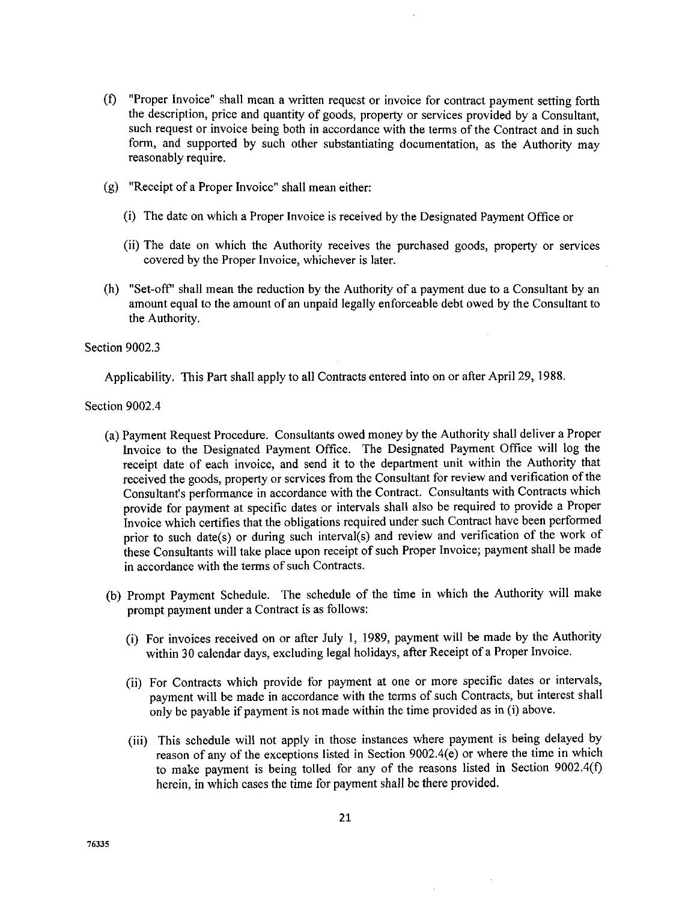- (0 "Proper Invoice" shall mean <sup>a</sup> written request or invoice for contract payment setting forth the description, price and quantity of goods, property or services provided by a Consultant, such request or invoice being both in accordance with the terms of the Contract and in such form, and supported by such other substantiating documentation, as the Authority may reasonably require.
- (g) "Receipt of a Proper Invoice" shall mean either:
	- (i) The date on which a Proper Invoice is received by the Designated Payment Office or
	- (ii) The date on which the Authority receives the purchased goods, property or services covered by the Proper Invoice, whichever is later.
- (h) "Set-off' shall mean the reduction by the Authority of a payment due to a Consultant by an amount equal to the amount of an unpaid legally enforceable debt owed by the Consultant to the Authority.

## Section 9002.3

Applicability. This Part shall apply to all Contracts entered into on or after April 29, 1988.

Section 9002.4

- (a) Payment Request Procedure. Consultants owed money by the Authority shall deliver a Proper Invoice to the Designated Payment Office. The Designated Payment Office will log the receipt date of each invoice, and send it to the department unit within the Authority that received the goods, property or services from the Consultant for review and verification of the Consultant's performance in accordance with the Contract. Consultants with Contracts which provide for payment at specific dates or intervals shall also be required to provide a Proper Invoice which certifies that the obligations required under such Contract have been performed prior to such date(s) or during such interval(s) and review and verification of the work of these Consultants will take place upon receipt of such Proper Invoice; payment shall be made in accordance with the terms of such Contracts.
- (b) Prompt Payment Schedule. The schedule of the time in which the Authority will make prompt payment under a Contract is as follows:
	- (i) For invoices received on or after July 1, 1989, payment will be made by the Authority within 30 calendar days, excluding legal holidays, after Receipt of a Proper Invoice.
	- (ii) For Contracts which provide for payment at one or more specific dates or intervals, payment will be made in accordance with the terms of such Contracts, but interest shall only be payable if payment is not made within the time provided as in (i) above.
	- (iii) This schedule will not apply in those instances where payment is being delayed by reason of any of the exceptions listed in Section 9002.4(e) or where the time in which to make payment is being toiled for any of the reasons listed in Section 9002.4(f) herein, in which cases the time for payment shall be there provided.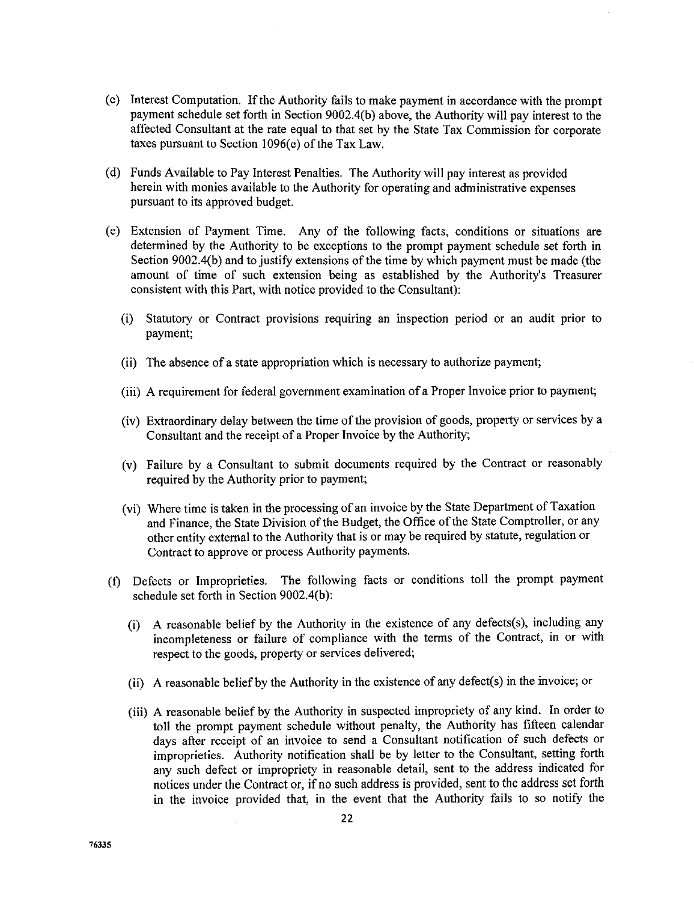- (c) Interest Computation. If the Authority fails to make payment in accordance with the prompt payment schedule set forth in Section 9002.4(b) above, the Authority will pay interest to the affected Consultant at the rate equal to that set by the State Tax Commission for corporate taxes pursuant to Section 1096(e) of the Tax Law.
- (d) Funds Available to Pay Interest Penalties. The Authority will pay interest as provided herein with monies available to the *Authority* for operating and administrative expenses pursuant to its approved budget.
- (e) Extension of Payment Time. Any of the following facts, conditions or situations are determined by the *Authority* to be exceptions to the prompt payment schedule set forth in Section 9002.4(b) and to justify extensions of the time by which payment must be made (the amount of time of such extension being as established by the Authority's Treasurer consistent with this Part, with notice provided to the Consultant):
	- (i) Statutory or Contract provisions requiring an inspection period or an audit prior to payment;
	- (ii) The absence of a state appropriation which is necessary to authorize payment;
	- (iii) A requirement for federal government examination of a Proper Invoice prior to payment;
	- (iv) Extraordinary delay between the time of the provision of goods, property or services by a Consultant and the receipt of a Proper Invoice by the Authority;
	- (v) Failure by a Consultant to submit documents required by the Contract or reasonab required by the Authority prior to payment;
	- (vi) Where time is taken in the processing of an invoice by the State Department of Taxation and Finance, the State Division of the Budget, the Office of the State Comptroller, or any other entity external to the Authority that is or may be required by statute, regulation or Contract to approve or process Authority payments.
- (f) Defects or Improprieties. The following facts or conditions toll the prompt payment schedule set forth in Section 9002.4(b):
	- (i) A reasonable belief by the Authority in the existence of any defects(s), including any incompleteness or failure of compliance with the terms of the Contract, in or with respect to the goods, property or services delivered;
	- (ii) A reasonable belief by the Authority in the existence of any defect(s) in the invoice; or
	- (iii) A reasonable belief by the Authority in suspected impropriety of any kind. In order to toll the prompt payment schedule without penalty, the Authority has fifteen calendar days after receipt of an invoice to send a Consultant notification of such defects or improprieties. Authority notification shall be by letter to the Consultant, setting forth any such defect or impropriety in reasonable detail, sent to the address indicated for notices under the Contract or, if no such address is provided, sent to the address set forth in the invoice provided that, in the event that the Authority fails to so notify the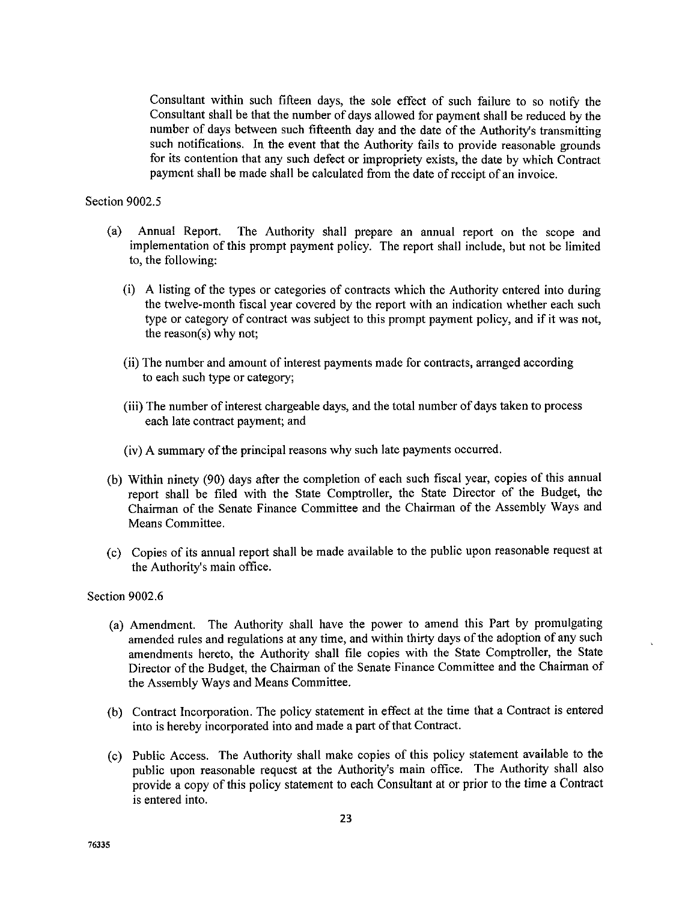Consultant within such fiReen days, the sole effect **of** such failure to so notify the Consultant shall be that the number of days allowed for payment shall be reduced by the number of days between such fifteenth day and the date of the Authority's transmitting such notifications. In the event that the Authority fails to provide reasonable grounds for its contention that any such defect or impropriety exists, the date by which Contract payment shall be made shall be calculated from the date of receipt of an invoice.

# Section 9002.5

- (a) Annual Report. The Authority shall prepare an annual report on the scope and implementation of this prompt payment policy. The report shall include, but not be limited to, the following:
	- (i) A listing of the types or categories of contracts which the Authority entered into during the twelve-month fiscal year covered by the report with an indication whether each such type or category of contract was subject to this prompt payment policy, and if it was not, the reason(s) why not;
	- (ii) The number and amount of interest payments made for contracts, arranged according to each such type or category;
	- (iii) The number of interest chargeable days, and the total number of days taken to process each late contract payment; and
	- (iv) A summary of the principal reasons why such late payments occurred.
- (b) Within ninety (90) days after the completion of each such fiscal year, copies of this annual report shall be filed with the State Comptroller, the State Director of the Budget, the Chairman of the Senate Finance Committee and the Chairman of the Assembly Ways and Means Committee.
- (c) Copies of its annual report shall be made available to the public upon reasonable request at the Authority's main office.

Section 9002.6

- (a) Amendment. The Authority shall have the power to amend this Part by promulgating amended rules and regulations at any time, and within thirty days of the adoption of any such amendments hereto, the Authority shall file copies with the State Comptroller, the State Director of the Budget, the Chairman of the Senate Finance Committee and the Chairman of the Assembly Ways and Means Committee.
- (b) Contract Incorporation. The policy statement in effect at the time that a Contract is entered into is hereby incorporated into and made a part of that Contract.
- (c) Public Access. The Authority shall make copies of this policy statement available to the public upon reasonable request at the Authority's main office. The Authority shall also provide a copy of this policy statement to each Consultant at or prior to the time a Contract is entered into.